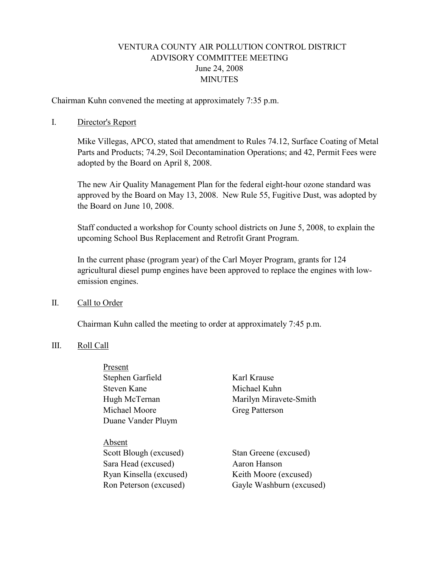# VENTURA COUNTY AIR POLLUTION CONTROL DISTRICT ADVISORY COMMITTEE MEETING June 24, 2008 **MINUTES**

Chairman Kuhn convened the meeting at approximately 7:35 p.m.

#### I. Director's Report

Mike Villegas, APCO, stated that amendment to Rules 74.12, Surface Coating of Metal Parts and Products; 74.29, Soil Decontamination Operations; and 42, Permit Fees were adopted by the Board on April 8, 2008.

The new Air Quality Management Plan for the federal eight-hour ozone standard was approved by the Board on May 13, 2008. New Rule 55, Fugitive Dust, was adopted by the Board on June 10, 2008.

Staff conducted a workshop for County school districts on June 5, 2008, to explain the upcoming School Bus Replacement and Retrofit Grant Program.

In the current phase (program year) of the Carl Moyer Program, grants for 124 agricultural diesel pump engines have been approved to replace the engines with lowemission engines.

#### II. Call to Order

Chairman Kuhn called the meeting to order at approximately 7:45 p.m.

#### III. Roll Call

| Present                 |                          |
|-------------------------|--------------------------|
| Stephen Garfield        | Karl Krause              |
| Steven Kane             | Michael Kuhn             |
| Hugh McTernan           | Marilyn Miravete-Smith   |
| Michael Moore           | <b>Greg Patterson</b>    |
| Duane Vander Pluym      |                          |
|                         |                          |
| Absent                  |                          |
| Scott Blough (excused)  | Stan Greene (excused)    |
| Sara Head (excused)     | Aaron Hanson             |
| Ryan Kinsella (excused) | Keith Moore (excused)    |
| Ron Peterson (excused)  | Gayle Washburn (excused) |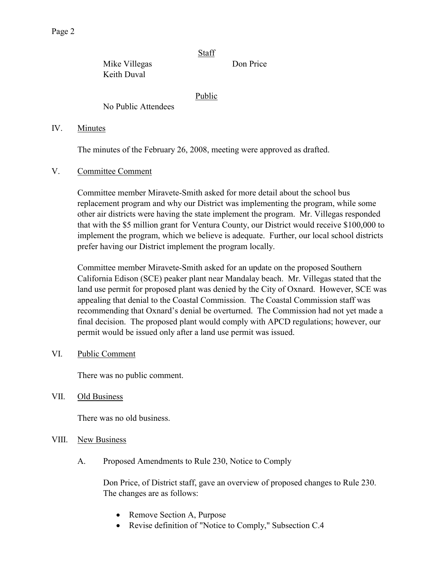Page 2

**Staff** 

Mike Villegas Don Price Keith Duval

Public

No Public Attendees

# IV. Minutes

The minutes of the February 26, 2008, meeting were approved as drafted.

# V. Committee Comment

Committee member Miravete-Smith asked for more detail about the school bus replacement program and why our District was implementing the program, while some other air districts were having the state implement the program. Mr. Villegas responded that with the \$5 million grant for Ventura County, our District would receive \$100,000 to implement the program, which we believe is adequate. Further, our local school districts prefer having our District implement the program locally.

Committee member Miravete-Smith asked for an update on the proposed Southern California Edison (SCE) peaker plant near Mandalay beach. Mr. Villegas stated that the land use permit for proposed plant was denied by the City of Oxnard. However, SCE was appealing that denial to the Coastal Commission. The Coastal Commission staff was recommending that Oxnard's denial be overturned. The Commission had not yet made a final decision. The proposed plant would comply with APCD regulations; however, our permit would be issued only after a land use permit was issued.

VI. Public Comment

There was no public comment.

VII. Old Business

There was no old business.

- VIII. New Business
	- A. Proposed Amendments to Rule 230, Notice to Comply

Don Price, of District staff, gave an overview of proposed changes to Rule 230. The changes are as follows:

- Remove Section A, Purpose
- Revise definition of "Notice to Comply," Subsection C.4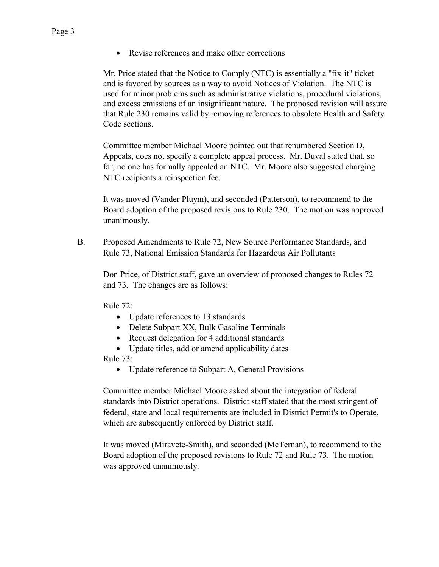Mr. Price stated that the Notice to Comply (NTC) is essentially a "fix-it" ticket and is favored by sources as a way to avoid Notices of Violation. The NTC is used for minor problems such as administrative violations, procedural violations, and excess emissions of an insignificant nature. The proposed revision will assure that Rule 230 remains valid by removing references to obsolete Health and Safety Code sections.

Committee member Michael Moore pointed out that renumbered Section D, Appeals, does not specify a complete appeal process. Mr. Duval stated that, so far, no one has formally appealed an NTC. Mr. Moore also suggested charging NTC recipients a reinspection fee.

It was moved (Vander Pluym), and seconded (Patterson), to recommend to the Board adoption of the proposed revisions to Rule 230. The motion was approved unanimously.

 B. Proposed Amendments to Rule 72, New Source Performance Standards, and Rule 73, National Emission Standards for Hazardous Air Pollutants

Don Price, of District staff, gave an overview of proposed changes to Rules 72 and 73. The changes are as follows:

Rule 72:

- Update references to 13 standards
- Delete Subpart XX, Bulk Gasoline Terminals
- Request delegation for 4 additional standards
- Update titles, add or amend applicability dates

Rule 73:

• Update reference to Subpart A, General Provisions

Committee member Michael Moore asked about the integration of federal standards into District operations. District staff stated that the most stringent of federal, state and local requirements are included in District Permit's to Operate, which are subsequently enforced by District staff.

It was moved (Miravete-Smith), and seconded (McTernan), to recommend to the Board adoption of the proposed revisions to Rule 72 and Rule 73. The motion was approved unanimously.